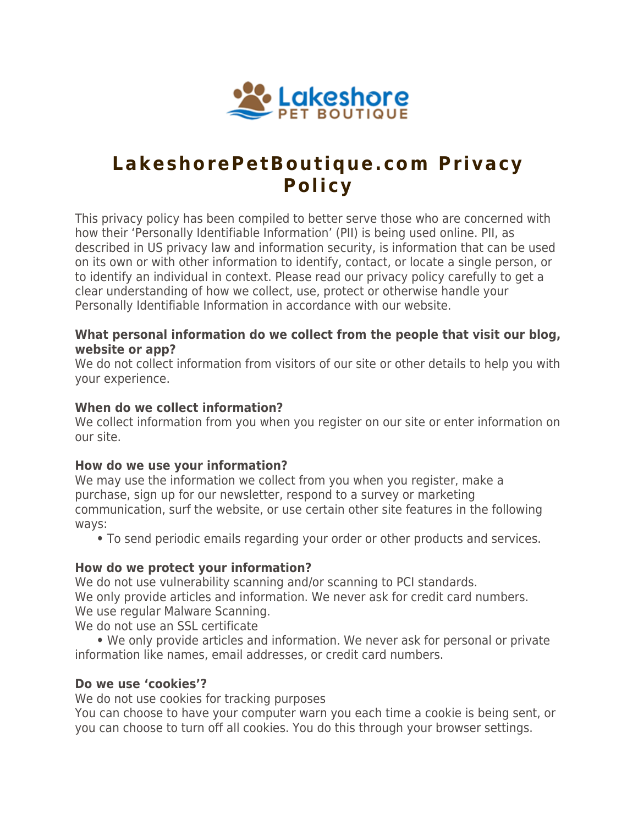

# **LakeshorePetBoutique.com Privacy Policy**

This privacy policy has been compiled to better serve those who are concerned with how their 'Personally Identifiable Information' (PII) is being used online. PII, as described in US privacy law and information security, is information that can be used on its own or with other information to identify, contact, or locate a single person, or to identify an individual in context. Please read our privacy policy carefully to get a clear understanding of how we collect, use, protect or otherwise handle your Personally Identifiable Information in accordance with our website.

#### **What personal information do we collect from the people that visit our blog, website or app?**

We do not collect information from visitors of our site or other details to help you with your experience.

## **When do we collect information?**

We collect information from you when you register on our site or enter information on our site.

#### **How do we use your information?**

We may use the information we collect from you when you register, make a purchase, sign up for our newsletter, respond to a survey or marketing communication, surf the website, or use certain other site features in the following ways:

**•** To send periodic emails regarding your order or other products and services.

#### **How do we protect your information?**

We do not use vulnerability scanning and/or scanning to PCI standards. We only provide articles and information. We never ask for credit card numbers. We use regular Malware Scanning.

We do not use an SSL certificate

 **•** We only provide articles and information. We never ask for personal or private information like names, email addresses, or credit card numbers.

#### **Do we use 'cookies'?**

We do not use cookies for tracking purposes

You can choose to have your computer warn you each time a cookie is being sent, or you can choose to turn off all cookies. You do this through your browser settings.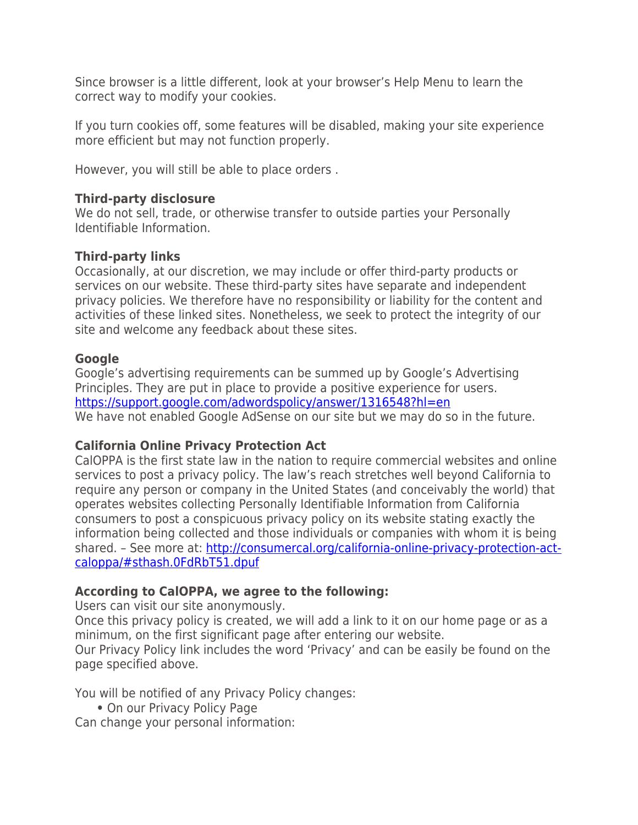Since browser is a little different, look at your browser's Help Menu to learn the correct way to modify your cookies.

If you turn cookies off, some features will be disabled, making your site experience more efficient but may not function properly.

However, you will still be able to place orders .

## **Third-party disclosure**

We do not sell, trade, or otherwise transfer to outside parties your Personally Identifiable Information.

# **Third-party links**

Occasionally, at our discretion, we may include or offer third-party products or services on our website. These third-party sites have separate and independent privacy policies. We therefore have no responsibility or liability for the content and activities of these linked sites. Nonetheless, we seek to protect the integrity of our site and welcome any feedback about these sites.

# **Google**

Google's advertising requirements can be summed up by Google's Advertising Principles. They are put in place to provide a positive experience for users. <https://support.google.com/adwordspolicy/answer/1316548?hl=en> We have not enabled Google AdSense on our site but we may do so in the future.

#### **California Online Privacy Protection Act**

CalOPPA is the first state law in the nation to require commercial websites and online services to post a privacy policy. The law's reach stretches well beyond California to require any person or company in the United States (and conceivably the world) that operates websites collecting Personally Identifiable Information from California consumers to post a conspicuous privacy policy on its website stating exactly the information being collected and those individuals or companies with whom it is being shared. – See more at: [http://consumercal.org/california-online-privacy-protection-act](http://consumercal.org/california-online-privacy-protection-act-caloppa/#sthash.0FdRbT51.dpuf)[caloppa/#sthash.0FdRbT51.dpuf](http://consumercal.org/california-online-privacy-protection-act-caloppa/#sthash.0FdRbT51.dpuf)

# **According to CalOPPA, we agree to the following:**

Users can visit our site anonymously.

Once this privacy policy is created, we will add a link to it on our home page or as a minimum, on the first significant page after entering our website.

Our Privacy Policy link includes the word 'Privacy' and can be easily be found on the page specified above.

You will be notified of any Privacy Policy changes:

**•** On our Privacy Policy Page

Can change your personal information: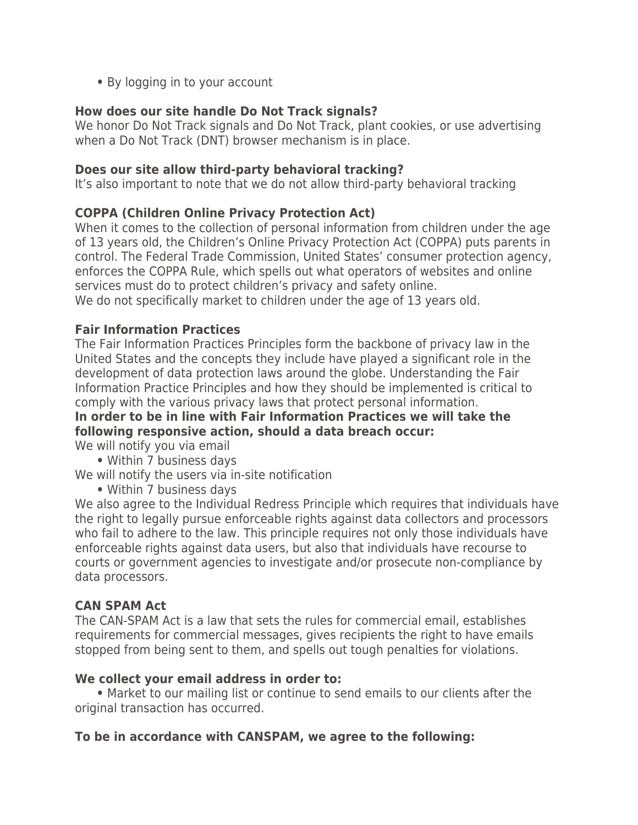**•** By logging in to your account

# **How does our site handle Do Not Track signals?**

We honor Do Not Track signals and Do Not Track, plant cookies, or use advertising when a Do Not Track (DNT) browser mechanism is in place.

#### **Does our site allow third-party behavioral tracking?**

It's also important to note that we do not allow third-party behavioral tracking

# **COPPA (Children Online Privacy Protection Act)**

When it comes to the collection of personal information from children under the age of 13 years old, the Children's Online Privacy Protection Act (COPPA) puts parents in control. The Federal Trade Commission, United States' consumer protection agency, enforces the COPPA Rule, which spells out what operators of websites and online services must do to protect children's privacy and safety online. We do not specifically market to children under the age of 13 years old.

#### **Fair Information Practices**

The Fair Information Practices Principles form the backbone of privacy law in the United States and the concepts they include have played a significant role in the development of data protection laws around the globe. Understanding the Fair Information Practice Principles and how they should be implemented is critical to comply with the various privacy laws that protect personal information.

# **In order to be in line with Fair Information Practices we will take the following responsive action, should a data breach occur:**

We will notify you via email

**•** Within 7 business days

We will notify the users via in-site notification

**•** Within 7 business days

We also agree to the Individual Redress Principle which requires that individuals have the right to legally pursue enforceable rights against data collectors and processors who fail to adhere to the law. This principle requires not only those individuals have enforceable rights against data users, but also that individuals have recourse to courts or government agencies to investigate and/or prosecute non-compliance by data processors.

#### **CAN SPAM Act**

The CAN-SPAM Act is a law that sets the rules for commercial email, establishes requirements for commercial messages, gives recipients the right to have emails stopped from being sent to them, and spells out tough penalties for violations.

#### **We collect your email address in order to:**

 **•** Market to our mailing list or continue to send emails to our clients after the original transaction has occurred.

#### **To be in accordance with CANSPAM, we agree to the following:**